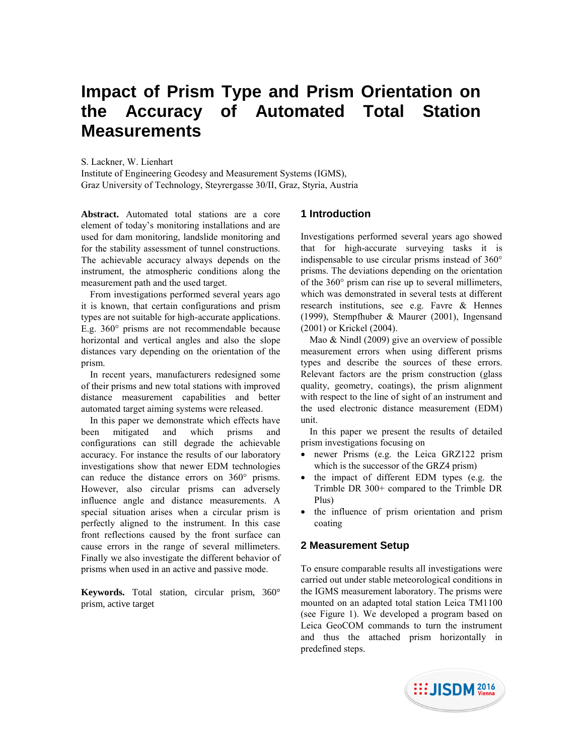# **Impact of Prism Type and Prism Orientation on the Accuracy of Automated Total Station Measurements**

S. Lackner, W. Lienhart

Institute of Engineering Geodesy and Measurement Systems (IGMS), Graz University of Technology, Steyrergasse 30/II, Graz, Styria, Austria

**Abstract.** Automated total stations are a core element of today's monitoring installations and are used for dam monitoring, landslide monitoring and for the stability assessment of tunnel constructions. The achievable accuracy always depends on the instrument, the atmospheric conditions along the measurement path and the used target.

From investigations performed several years ago it is known, that certain configurations and prism types are not suitable for high-accurate applications. E.g. 360° prisms are not recommendable because horizontal and vertical angles and also the slope distances vary depending on the orientation of the prism.

In recent years, manufacturers redesigned some of their prisms and new total stations with improved distance measurement capabilities and better automated target aiming systems were released.

In this paper we demonstrate which effects have been mitigated and which prisms and configurations can still degrade the achievable accuracy. For instance the results of our laboratory investigations show that newer EDM technologies can reduce the distance errors on 360° prisms. However, also circular prisms can adversely influence angle and distance measurements. A special situation arises when a circular prism is perfectly aligned to the instrument. In this case front reflections caused by the front surface can cause errors in the range of several millimeters. Finally we also investigate the different behavior of prisms when used in an active and passive mode.

**Keywords.** Total station, circular prism, 360° prism, active target

## **1 Introduction**

Investigations performed several years ago showed that for high-accurate surveying tasks it is indispensable to use circular prisms instead of 360° prisms. The deviations depending on the orientation of the 360° prism can rise up to several millimeters, which was demonstrated in several tests at different research institutions, see e.g. Favre & Hennes (1999), Stempfhuber & Maurer (2001), Ingensand (2001) or Krickel (2004).

Mao & Nindl (2009) give an overview of possible measurement errors when using different prisms types and describe the sources of these errors. Relevant factors are the prism construction (glass quality, geometry, coatings), the prism alignment with respect to the line of sight of an instrument and the used electronic distance measurement (EDM) unit.

In this paper we present the results of detailed prism investigations focusing on

- newer Prisms (e.g. the Leica GRZ122 prism which is the successor of the GRZ4 prism)
- the impact of different EDM types (e.g. the Trimble DR 300+ compared to the Trimble DR Plus)
- the influence of prism orientation and prism coating

# **2 Measurement Setup**

To ensure comparable results all investigations were carried out under stable meteorological conditions in the IGMS measurement laboratory. The prisms were mounted on an adapted total station Leica TM1100 (see Figure 1). We developed a program based on Leica GeoCOM commands to turn the instrument and thus the attached prism horizontally in predefined steps.

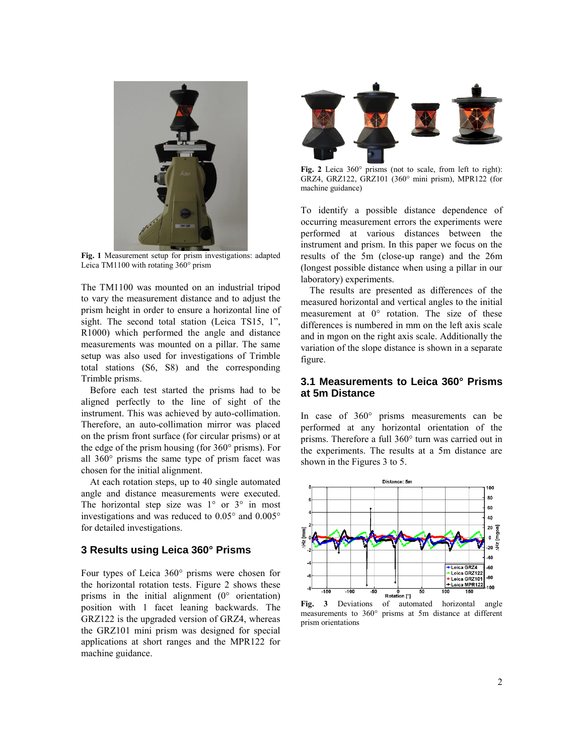

**Fig. 1** Measurement setup for prism investigations: adapted Leica TM1100 with rotating 360° prism

The TM1100 was mounted on an industrial tripod to vary the measurement distance and to adjust the prism height in order to ensure a horizontal line of sight. The second total station (Leica TS15, 1", R1000) which performed the angle and distance measurements was mounted on a pillar. The same setup was also used for investigations of Trimble total stations (S6, S8) and the corresponding Trimble prisms.

Before each test started the prisms had to be aligned perfectly to the line of sight of the instrument. This was achieved by auto-collimation. Therefore, an auto-collimation mirror was placed on the prism front surface (for circular prisms) or at the edge of the prism housing (for 360° prisms). For all 360° prisms the same type of prism facet was chosen for the initial alignment.

At each rotation steps, up to 40 single automated angle and distance measurements were executed. The horizontal step size was  $1^{\circ}$  or  $3^{\circ}$  in most investigations and was reduced to 0.05° and 0.005° for detailed investigations.

## **3 Results using Leica 360° Prisms**

Four types of Leica 360° prisms were chosen for the horizontal rotation tests. Figure 2 shows these prisms in the initial alignment (0° orientation) position with 1 facet leaning backwards. The GRZ122 is the upgraded version of GRZ4, whereas the GRZ101 mini prism was designed for special applications at short ranges and the MPR122 for machine guidance.



**Fig. 2** Leica 360° prisms (not to scale, from left to right): GRZ4, GRZ122, GRZ101 (360° mini prism), MPR122 (for machine guidance)

To identify a possible distance dependence of occurring measurement errors the experiments were performed at various distances between the instrument and prism. In this paper we focus on the results of the 5m (close-up range) and the 26m (longest possible distance when using a pillar in our laboratory) experiments.

The results are presented as differences of the measured horizontal and vertical angles to the initial measurement at 0° rotation. The size of these differences is numbered in mm on the left axis scale and in mgon on the right axis scale. Additionally the variation of the slope distance is shown in a separate figure.

## **3.1 Measurements to Leica 360° Prisms at 5m Distance**

In case of 360° prisms measurements can be performed at any horizontal orientation of the prisms. Therefore a full 360° turn was carried out in the experiments. The results at a 5m distance are shown in the Figures 3 to 5.



**Fig. 3** Deviations of automated horizontal angle measurements to 360° prisms at 5m distance at different prism orientations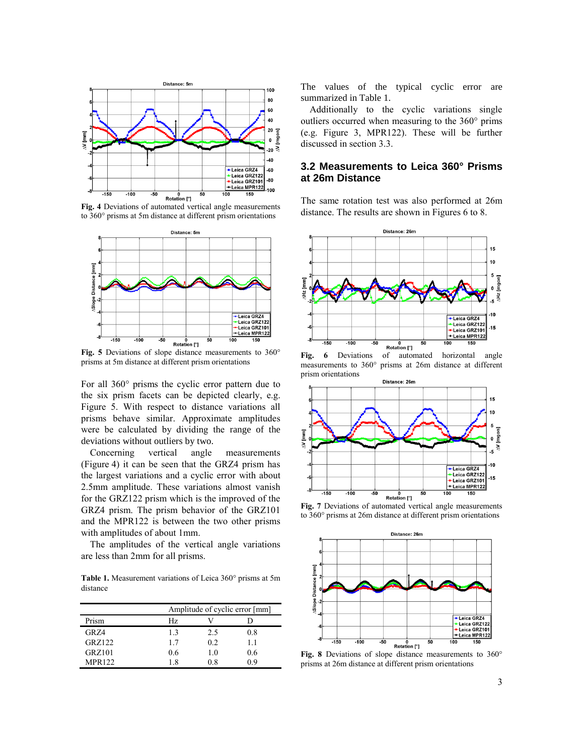

**Fig. 4** Deviations of automated vertical angle measurements to 360° prisms at 5m distance at different prism orientations



**Fig. 5** Deviations of slope distance measurements to 360° prisms at 5m distance at different prism orientations

For all 360° prisms the cyclic error pattern due to the six prism facets can be depicted clearly, e.g. Figure 5. With respect to distance variations all prisms behave similar. Approximate amplitudes were be calculated by dividing the range of the deviations without outliers by two.

Concerning vertical angle measurements (Figure 4) it can be seen that the GRZ4 prism has the largest variations and a cyclic error with about 2.5mm amplitude. These variations almost vanish for the GRZ122 prism which is the improved of the GRZ4 prism. The prism behavior of the GRZ101 and the MPR122 is between the two other prisms with amplitudes of about 1mm.

The amplitudes of the vertical angle variations are less than 2mm for all prisms.

**Table 1.** Measurement variations of Leica 360° prisms at 5m distance

|                  |     | Amplitude of cyclic error [mm] |     |  |
|------------------|-----|--------------------------------|-----|--|
| Prism            | Hz  |                                |     |  |
| GR <sub>74</sub> | 13  | 2.5                            | 0.8 |  |
| GRZ122           | 17  | 0.2                            | 11  |  |
| GRZ101           | 0.6 | 1.0                            | 0.6 |  |
| <b>MPR122</b>    | 18  | 08                             | በ ዓ |  |

The values of the typical cyclic error are summarized in Table 1.

Additionally to the cyclic variations single outliers occurred when measuring to the 360° prims (e.g. Figure 3, MPR122). These will be further discussed in section 3.3.

## **3.2 Measurements to Leica 360° Prisms at 26m Distance**

The same rotation test was also performed at 26m distance. The results are shown in Figures 6 to 8.



Fig. 6 Deviations of automated horizontal angle measurements to 360° prisms at 26m distance at different prism orientations



**Fig. 7** Deviations of automated vertical angle measurements to 360° prisms at 26m distance at different prism orientations



**Fig. 8** Deviations of slope distance measurements to 360° prisms at 26m distance at different prism orientations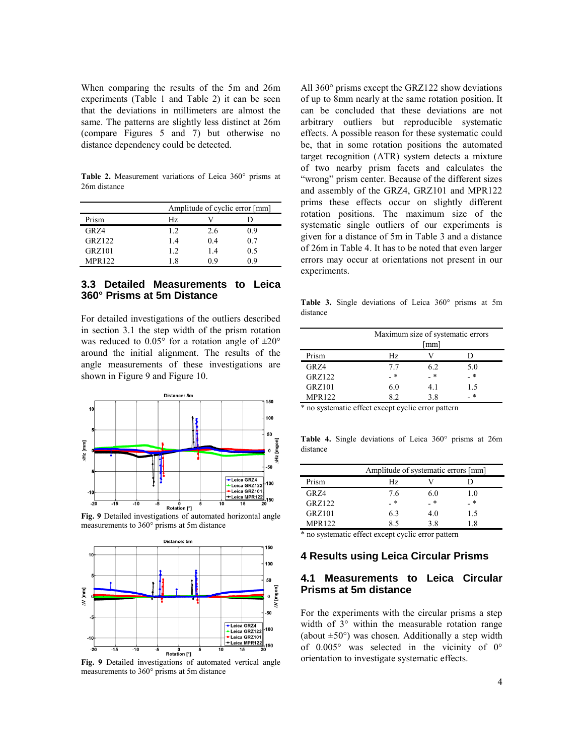When comparing the results of the 5m and 26m experiments (Table 1 and Table 2) it can be seen that the deviations in millimeters are almost the same. The patterns are slightly less distinct at 26m (compare Figures 5 and 7) but otherwise no distance dependency could be detected.

**Table 2.** Measurement variations of Leica 360° prisms at 26m distance

|               | Amplitude of cyclic error [mm] |     |     |
|---------------|--------------------------------|-----|-----|
| Prism         | Hz                             |     |     |
| GR Z4         | 12                             | 2.6 | 0.9 |
| GRZ122        | 14                             | 04  | 0.7 |
| <b>GRZ101</b> | 12                             | 1.4 | 0.5 |
| <b>MPR122</b> | 18                             | 09  | በ ዓ |

# **3.3 Detailed Measurements to Leica 360° Prisms at 5m Distance**

For detailed investigations of the outliers described in section 3.1 the step width of the prism rotation was reduced to  $0.05^{\circ}$  for a rotation angle of  $\pm 20^{\circ}$ around the initial alignment. The results of the angle measurements of these investigations are shown in Figure 9 and Figure 10.



**Fig. 9** Detailed investigations of automated horizontal angle measurements to 360° prisms at 5m distance



**Fig. 9** Detailed investigations of automated vertical angle measurements to 360° prisms at 5m distance

All 360° prisms except the GRZ122 show deviations of up to 8mm nearly at the same rotation position. It can be concluded that these deviations are not arbitrary outliers but reproducible systematic effects. A possible reason for these systematic could be, that in some rotation positions the automated target recognition (ATR) system detects a mixture of two nearby prism facets and calculates the "wrong" prism center. Because of the different sizes and assembly of the GRZ4, GRZ101 and MPR122 prims these effects occur on slightly different rotation positions. The maximum size of the systematic single outliers of our experiments is given for a distance of 5m in Table 3 and a distance of 26m in Table 4. It has to be noted that even larger errors may occur at orientations not present in our experiments.

**Table 3.** Single deviations of Leica 360° prisms at 5m distance

|               |     | Maximum size of systematic errors<br>mm] |        |  |
|---------------|-----|------------------------------------------|--------|--|
| Prism         | Hz. |                                          |        |  |
| GRZ4          | 77  | 6.2                                      | 5.0    |  |
| <b>GRZ122</b> | - * | _ *                                      | $\ast$ |  |
| <b>GRZ101</b> | 6.0 | 4.1                                      | 1.5    |  |
| <b>MPR122</b> | 89  | 3.8                                      | 未      |  |

\* no systematic effect except cyclic error pattern

**Table 4.** Single deviations of Leica 360° prisms at 26m distance

|                  | Amplitude of systematic errors [mm] |     |     |
|------------------|-------------------------------------|-----|-----|
| Prism            | Hz.                                 |     |     |
| GR <sub>74</sub> | 76                                  | 6.0 | 10  |
| GRZ122           | _ *                                 | _ * | _ * |
| <b>GRZ101</b>    | 6.3                                 | 4.0 | 1.5 |
| <b>MPR122</b>    |                                     | 38  | -8  |

\* no systematic effect except cyclic error pattern

#### **4 Results using Leica Circular Prisms**

# **4.1 Measurements to Leica Circular Prisms at 5m distance**

For the experiments with the circular prisms a step width of  $3^{\circ}$  within the measurable rotation range (about  $\pm 50^{\circ}$ ) was chosen. Additionally a step width of 0.005° was selected in the vicinity of 0° orientation to investigate systematic effects.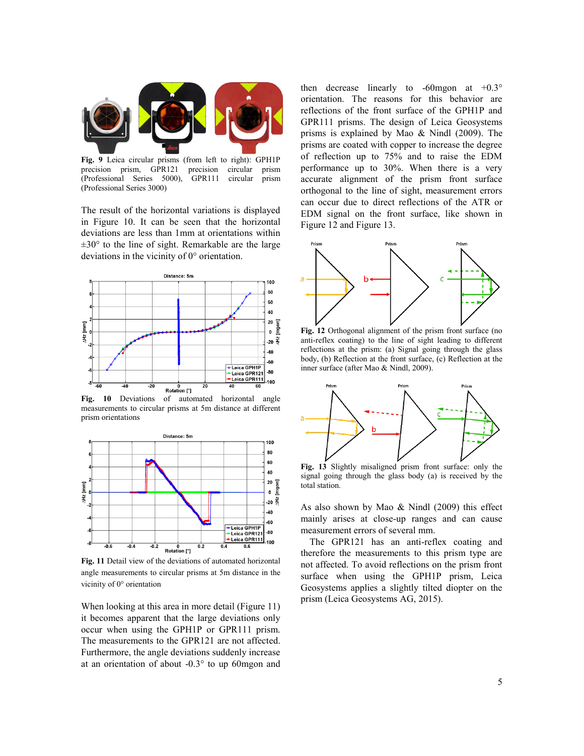

**Fig. 9** Leica circular prisms (from left to right): GPH1P precision prism, GPR121 precision circular prism (Professional Series 5000), GPR111 circular prism (Professional Series 3000)

The result of the horizontal variations is displayed in Figure 10. It can be seen that the horizontal deviations are less than 1mm at orientations within  $\pm 30^{\circ}$  to the line of sight. Remarkable are the large deviations in the vicinity of 0° orientation.



Fig. 10 Deviations of automated horizontal angle measurements to circular prisms at 5m distance at different prism orientations



**Fig. 11** Detail view of the deviations of automated horizontal angle measurements to circular prisms at 5m distance in the vicinity of 0° orientation

When looking at this area in more detail (Figure 11) it becomes apparent that the large deviations only occur when using the GPH1P or GPR111 prism. The measurements to the GPR121 are not affected. Furthermore, the angle deviations suddenly increase at an orientation of about -0.3° to up 60mgon and

then decrease linearly to  $-60$  mgon at  $+0.3^\circ$ orientation. The reasons for this behavior are reflections of the front surface of the GPH1P and GPR111 prisms. The design of Leica Geosystems prisms is explained by Mao & Nindl (2009). The prisms are coated with copper to increase the degree of reflection up to 75% and to raise the EDM performance up to 30%. When there is a very accurate alignment of the prism front surface orthogonal to the line of sight, measurement errors can occur due to direct reflections of the ATR or EDM signal on the front surface, like shown in Figure 12 and Figure 13.



**Fig. 12** Orthogonal alignment of the prism front surface (no anti-reflex coating) to the line of sight leading to different reflections at the prism: (a) Signal going through the glass body, (b) Reflection at the front surface, (c) Reflection at the inner surface (after Mao & Nindl, 2009).



**Fig. 13** Slightly misaligned prism front surface: only the signal going through the glass body (a) is received by the total station.

As also shown by Mao & Nindl (2009) this effect mainly arises at close-up ranges and can cause measurement errors of several mm.

The GPR121 has an anti-reflex coating and therefore the measurements to this prism type are not affected. To avoid reflections on the prism front surface when using the GPH1P prism, Leica Geosystems applies a slightly tilted diopter on the prism (Leica Geosystems AG, 2015).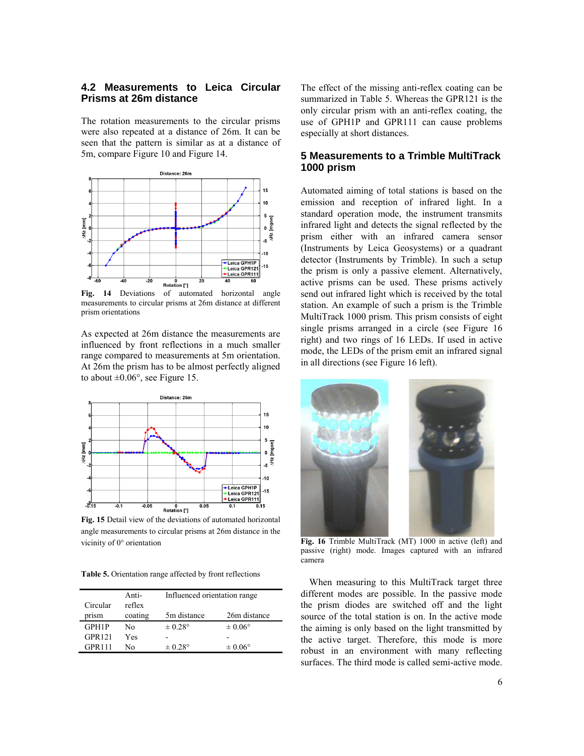# **4.2 Measurements to Leica Circular Prisms at 26m distance**

The rotation measurements to the circular prisms were also repeated at a distance of 26m. It can be seen that the pattern is similar as at a distance of 5m, compare Figure 10 and Figure 14.



**Fig. 14** Deviations of automated horizontal angle measurements to circular prisms at 26m distance at different prism orientations

As expected at 26m distance the measurements are influenced by front reflections in a much smaller range compared to measurements at 5m orientation. At 26m the prism has to be almost perfectly aligned to about  $\pm 0.06^{\circ}$ , see Figure 15.



**Fig. 15** Detail view of the deviations of automated horizontal angle measurements to circular prisms at 26m distance in the vicinity of 0° orientation

**Table 5.** Orientation range affected by front reflections

|               | Anti-   | Influenced orientation range |                    |
|---------------|---------|------------------------------|--------------------|
| Circular      | reflex  |                              |                    |
| prism         | coating | 5m distance                  | 26m distance       |
| GPH1P         | No      | $\pm 0.28^{\circ}$           | $\pm 0.06^{\circ}$ |
| <b>GPR121</b> | Yes     |                              |                    |
| <b>GPR111</b> | No      | $\pm 0.28^{\circ}$           | $\pm 0.06^{\circ}$ |

The effect of the missing anti-reflex coating can be summarized in Table 5. Whereas the GPR121 is the only circular prism with an anti-reflex coating, the use of GPH1P and GPR111 can cause problems especially at short distances.

#### **5 Measurements to a Trimble MultiTrack 1000 prism**

Automated aiming of total stations is based on the emission and reception of infrared light. In a standard operation mode, the instrument transmits infrared light and detects the signal reflected by the prism either with an infrared camera sensor (Instruments by Leica Geosystems) or a quadrant detector (Instruments by Trimble). In such a setup the prism is only a passive element. Alternatively, active prisms can be used. These prisms actively send out infrared light which is received by the total station. An example of such a prism is the Trimble MultiTrack 1000 prism. This prism consists of eight single prisms arranged in a circle (see Figure 16 right) and two rings of 16 LEDs. If used in active mode, the LEDs of the prism emit an infrared signal in all directions (see Figure 16 left).



**Fig. 16** Trimble MultiTrack (MT) 1000 in active (left) and passive (right) mode. Images captured with an infrared camera

When measuring to this MultiTrack target three different modes are possible. In the passive mode the prism diodes are switched off and the light source of the total station is on. In the active mode the aiming is only based on the light transmitted by the active target. Therefore, this mode is more robust in an environment with many reflecting surfaces. The third mode is called semi-active mode.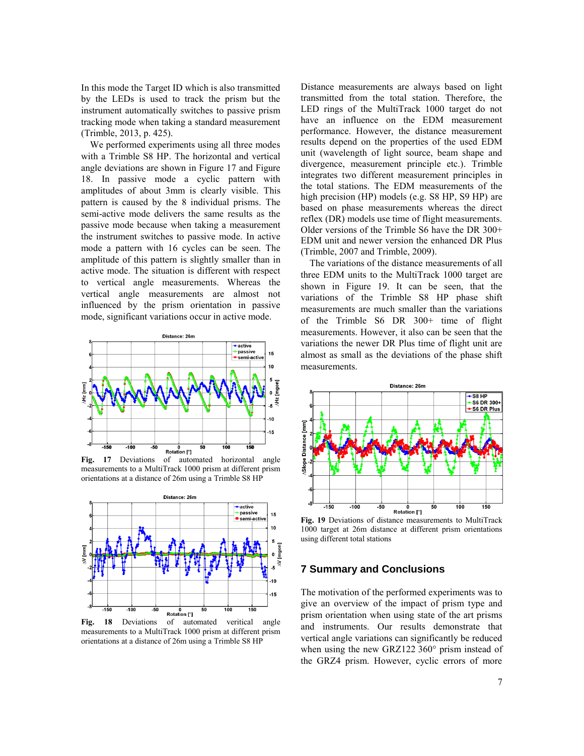In this mode the Target ID which is also transmitted by the LEDs is used to track the prism but the instrument automatically switches to passive prism tracking mode when taking a standard measurement (Trimble, 2013, p. 425).

We performed experiments using all three modes with a Trimble S8 HP. The horizontal and vertical angle deviations are shown in Figure 17 and Figure 18. In passive mode a cyclic pattern with amplitudes of about 3mm is clearly visible. This pattern is caused by the 8 individual prisms. The semi-active mode delivers the same results as the passive mode because when taking a measurement the instrument switches to passive mode. In active mode a pattern with 16 cycles can be seen. The amplitude of this pattern is slightly smaller than in active mode. The situation is different with respect to vertical angle measurements. Whereas the vertical angle measurements are almost not influenced by the prism orientation in passive mode, significant variations occur in active mode.



**Fig. 17** Deviations of automated horizontal angle measurements to a MultiTrack 1000 prism at different prism orientations at a distance of 26m using a Trimble S8 HP



**Fig. 18** Deviations of automated veritical angle measurements to a MultiTrack 1000 prism at different prism orientations at a distance of 26m using a Trimble S8 HP

Distance measurements are always based on light transmitted from the total station. Therefore, the LED rings of the MultiTrack 1000 target do not have an influence on the EDM measurement performance. However, the distance measurement results depend on the properties of the used EDM unit (wavelength of light source, beam shape and divergence, measurement principle etc.). Trimble integrates two different measurement principles in the total stations. The EDM measurements of the high precision (HP) models (e.g. S8 HP, S9 HP) are based on phase measurements whereas the direct reflex (DR) models use time of flight measurements. Older versions of the Trimble S6 have the DR 300+ EDM unit and newer version the enhanced DR Plus (Trimble, 2007 and Trimble, 2009).

The variations of the distance measurements of all three EDM units to the MultiTrack 1000 target are shown in Figure 19. It can be seen, that the variations of the Trimble S8 HP phase shift measurements are much smaller than the variations of the Trimble S6 DR 300+ time of flight measurements. However, it also can be seen that the variations the newer DR Plus time of flight unit are almost as small as the deviations of the phase shift measurements.



**Fig. 19** Deviations of distance measurements to MultiTrack 1000 target at 26m distance at different prism orientations using different total stations

#### **7 Summary and Conclusions**

The motivation of the performed experiments was to give an overview of the impact of prism type and prism orientation when using state of the art prisms and instruments. Our results demonstrate that vertical angle variations can significantly be reduced when using the new GRZ122 360° prism instead of the GRZ4 prism. However, cyclic errors of more